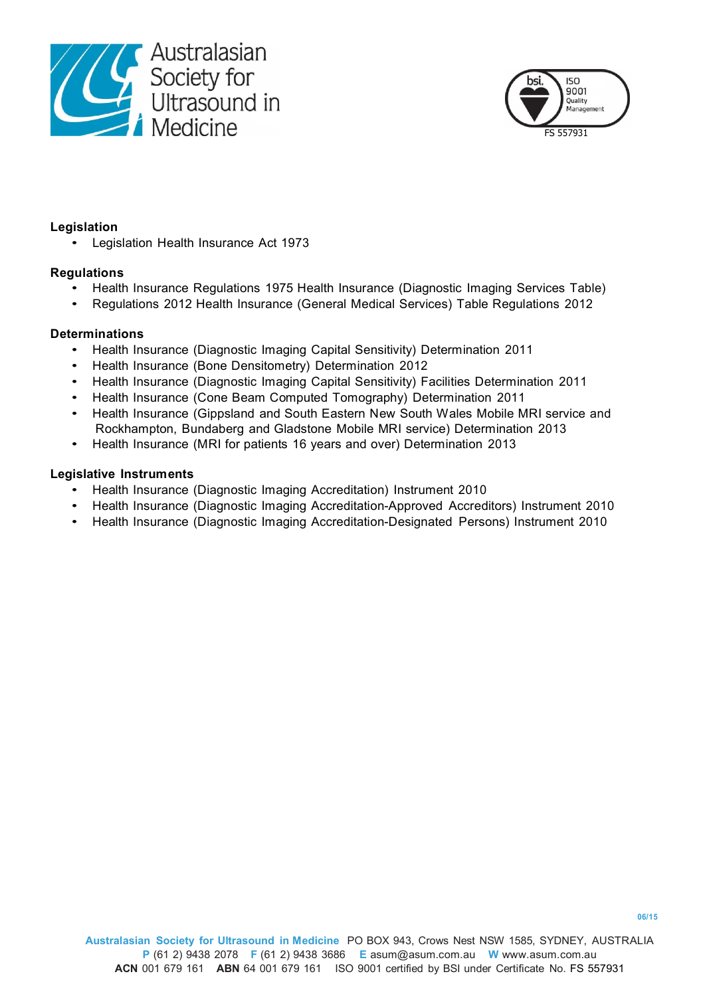



### **Legislation**

• Legislation Health Insurance Act 1973

### **Regulations**

- Health Insurance Regulations 1975 Health Insurance (Diagnostic Imaging Services Table)
- Regulations 2012 Health Insurance (General Medical Services) Table Regulations 2012

### **Determinations**

- Health Insurance (Diagnostic Imaging Capital Sensitivity) Determination 2011
- Health Insurance (Bone Densitometry) Determination 2012
- Health Insurance (Diagnostic Imaging Capital Sensitivity) Facilities Determination 2011
- Health Insurance (Cone Beam Computed Tomography) Determination 2011
- Health Insurance (Gippsland and South Eastern New South Wales Mobile MRI service and Rockhampton, Bundaberg and Gladstone Mobile MRI service) Determination 2013
- Health Insurance (MRI for patients 16 years and over) Determination 2013

### **Legislative Instruments**

- Health Insurance (Diagnostic Imaging Accreditation) Instrument 2010
- Health Insurance (Diagnostic Imaging Accreditation-Approved Accreditors) Instrument 2010
- Health Insurance (Diagnostic Imaging Accreditation-Designated Persons) Instrument 2010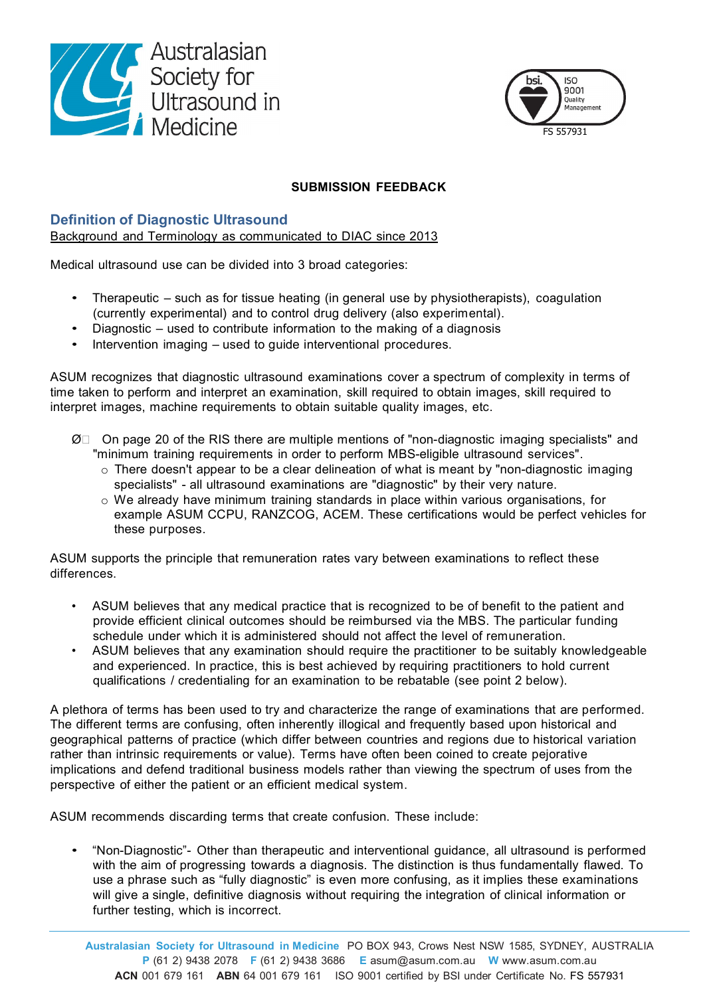



## **SUBMISSION FEEDBACK**

# **Definition of Diagnostic Ultrasound**

Background and Terminology as communicated to DIAC since 2013

Medical ultrasound use can be divided into 3 broad categories:

- Therapeutic such as for tissue heating (in general use by physiotherapists), coagulation (currently experimental) and to control drug delivery (also experimental).
- Diagnostic used to contribute information to the making of a diagnosis
- Intervention imaging used to guide interventional procedures.

ASUM recognizes that diagnostic ultrasound examinations cover a spectrum of complexity in terms of time taken to perform and interpret an examination, skill required to obtain images, skill required to interpret images, machine requirements to obtain suitable quality images, etc.

- $\emptyset$  On page 20 of the RIS there are multiple mentions of "non-diagnostic imaging specialists" and "minimum training requirements in order to perform MBS-eligible ultrasound services".
	- $\circ$  There doesn't appear to be a clear delineation of what is meant by "non-diagnostic imaging specialists" - all ultrasound examinations are "diagnostic" by their very nature.
	- o We already have minimum training standards in place within various organisations, for example ASUM CCPU, RANZCOG, ACEM. These certifications would be perfect vehicles for these purposes.

ASUM supports the principle that remuneration rates vary between examinations to reflect these differences.

- ASUM believes that any medical practice that is recognized to be of benefit to the patient and provide efficient clinical outcomes should be reimbursed via the MBS. The particular funding schedule under which it is administered should not affect the level of remuneration.
- ASUM believes that any examination should require the practitioner to be suitably knowledgeable and experienced. In practice, this is best achieved by requiring practitioners to hold current qualifications / credentialing for an examination to be rebatable (see point 2 below).

A plethora of terms has been used to try and characterize the range of examinations that are performed. The different terms are confusing, often inherently illogical and frequently based upon historical and geographical patterns of practice (which differ between countries and regions due to historical variation rather than intrinsic requirements or value). Terms have often been coined to create pejorative implications and defend traditional business models rather than viewing the spectrum of uses from the perspective of either the patient or an efficient medical system.

ASUM recommends discarding terms that create confusion. These include:

• "Non-Diagnostic"- Other than therapeutic and interventional guidance, all ultrasound is performed with the aim of progressing towards a diagnosis. The distinction is thus fundamentally flawed. To use a phrase such as "fully diagnostic" is even more confusing, as it implies these examinations will give a single, definitive diagnosis without requiring the integration of clinical information or further testing, which is incorrect.

**Australasian Society for Ultrasound in Medicine** PO BOX 943, Crows Nest NSW 1585, SYDNEY, AUSTRALIA **P** (61 2) 9438 2078 **F** (61 2) 9438 3686 **E** asum@asum.com.au **W** www.asum.com.au **ACN** 001 679 161 **ABN** 64 001 679 161 ISO 9001 certified by BSI under Certificate No. FS 557931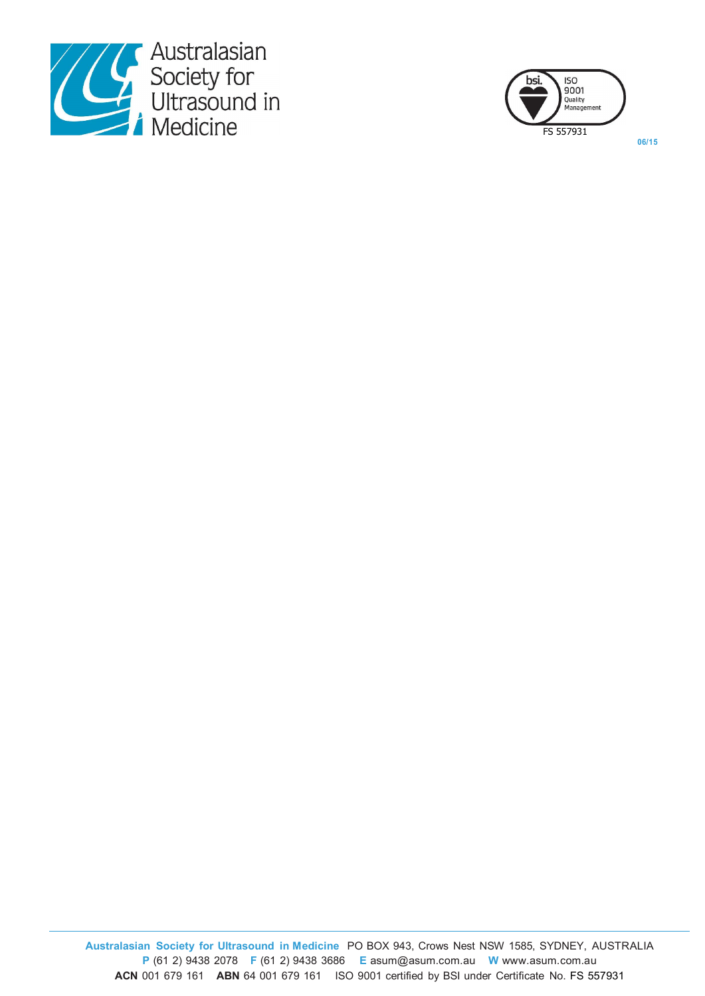



**Australasian Society for Ultrasound in Medicine** PO BOX 943, Crows Nest NSW 1585, SYDNEY, AUSTRALIA **P** (61 2) 9438 2078 **F** (61 2) 9438 3686 **E** asum@asum.com.au **W** www.asum.com.au **ACN** 001 679 161 **ABN** 64 001 679 161 ISO 9001 certified by BSI under Certificate No. FS 557931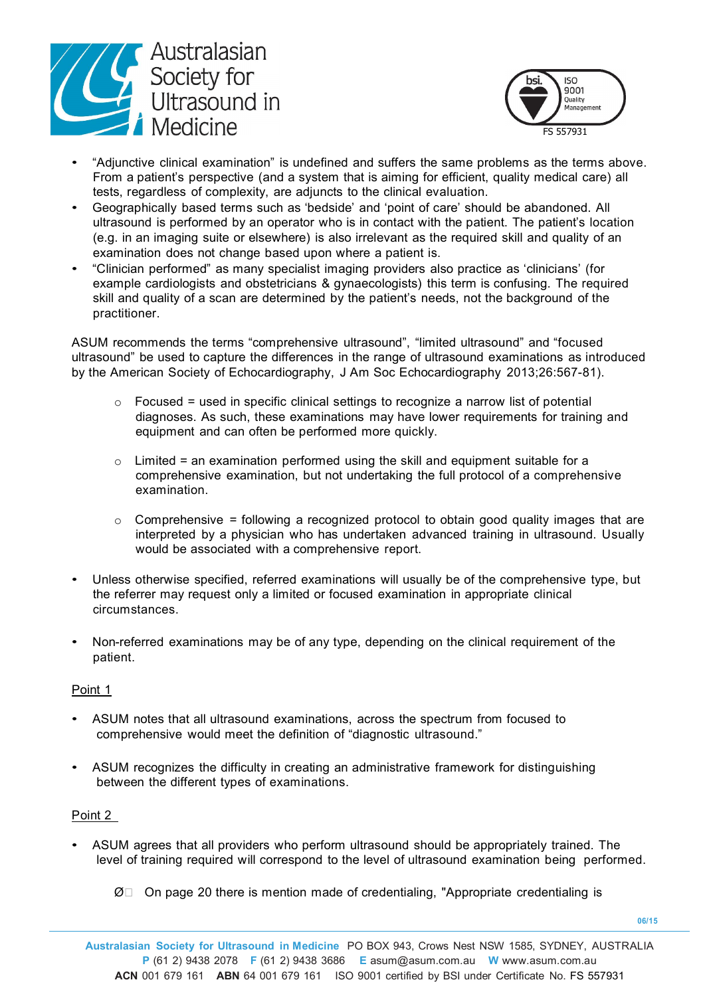



- "Adjunctive clinical examination" is undefined and suffers the same problems as the terms above. From a patient's perspective (and a system that is aiming for efficient, quality medical care) all tests, regardless of complexity, are adjuncts to the clinical evaluation.
- Geographically based terms such as 'bedside' and 'point of care' should be abandoned. All ultrasound is performed by an operator who is in contact with the patient. The patient's location (e.g. in an imaging suite or elsewhere) is also irrelevant as the required skill and quality of an examination does not change based upon where a patient is.
- "Clinician performed" as many specialist imaging providers also practice as 'clinicians' (for example cardiologists and obstetricians & gynaecologists) this term is confusing. The required skill and quality of a scan are determined by the patient's needs, not the background of the practitioner.

ASUM recommends the terms "comprehensive ultrasound", "limited ultrasound" and "focused ultrasound" be used to capture the differences in the range of ultrasound examinations as introduced by the American Society of Echocardiography, J Am Soc Echocardiography 2013;26:567-81).

- $\circ$  Focused = used in specific clinical settings to recognize a narrow list of potential diagnoses. As such, these examinations may have lower requirements for training and equipment and can often be performed more quickly.
- $\circ$  Limited = an examination performed using the skill and equipment suitable for a comprehensive examination, but not undertaking the full protocol of a comprehensive examination.
- $\circ$  Comprehensive = following a recognized protocol to obtain good quality images that are interpreted by a physician who has undertaken advanced training in ultrasound. Usually would be associated with a comprehensive report.
- Unless otherwise specified, referred examinations will usually be of the comprehensive type, but the referrer may request only a limited or focused examination in appropriate clinical circumstances.
- Non-referred examinations may be of any type, depending on the clinical requirement of the patient.

### Point 1

- ASUM notes that all ultrasound examinations, across the spectrum from focused to comprehensive would meet the definition of "diagnostic ultrasound."
- ASUM recognizes the difficulty in creating an administrative framework for distinguishing between the different types of examinations.

# Point 2

• ASUM agrees that all providers who perform ultrasound should be appropriately trained. The level of training required will correspond to the level of ultrasound examination being performed.

 $\emptyset$  On page 20 there is mention made of credentialing, "Appropriate credentialing is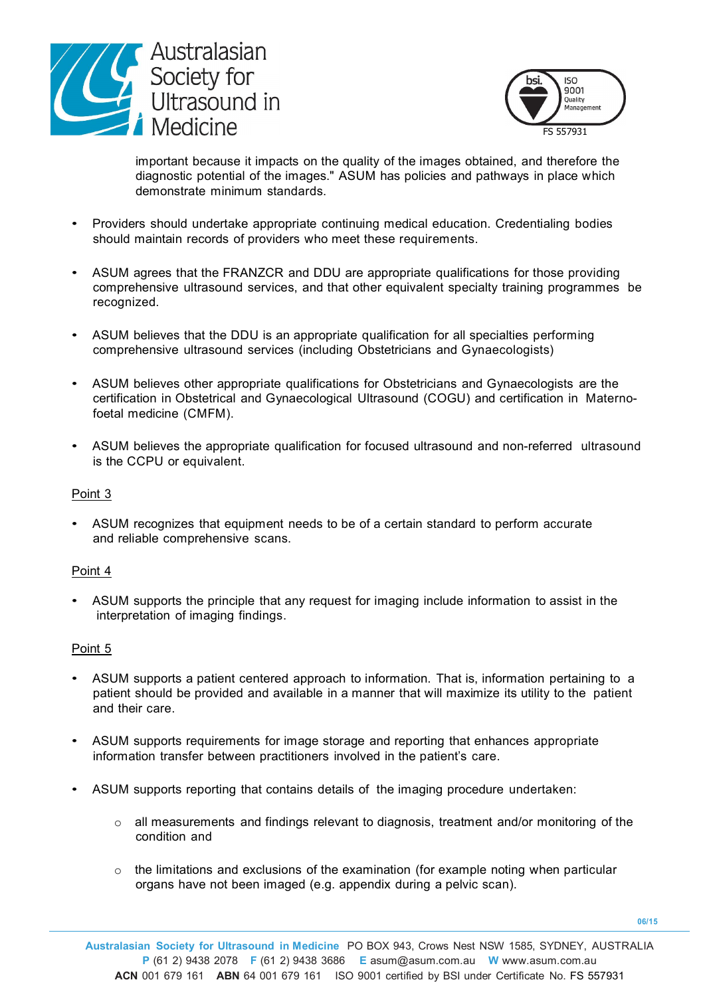



important because it impacts on the quality of the images obtained, and therefore the diagnostic potential of the images." ASUM has policies and pathways in place which demonstrate minimum standards.

- Providers should undertake appropriate continuing medical education. Credentialing bodies should maintain records of providers who meet these requirements.
- ASUM agrees that the FRANZCR and DDU are appropriate qualifications for those providing comprehensive ultrasound services, and that other equivalent specialty training programmes be recognized.
- ASUM believes that the DDU is an appropriate qualification for all specialties performing comprehensive ultrasound services (including Obstetricians and Gynaecologists)
- ASUM believes other appropriate qualifications for Obstetricians and Gynaecologists are the certification in Obstetrical and Gynaecological Ultrasound (COGU) and certification in Maternofoetal medicine (CMFM).
- ASUM believes the appropriate qualification for focused ultrasound and non-referred ultrasound is the CCPU or equivalent.

### Point 3

• ASUM recognizes that equipment needs to be of a certain standard to perform accurate and reliable comprehensive scans.

### Point 4

• ASUM supports the principle that any request for imaging include information to assist in the interpretation of imaging findings.

### Point 5

- ASUM supports a patient centered approach to information. That is, information pertaining to a patient should be provided and available in a manner that will maximize its utility to the patient and their care.
- ASUM supports requirements for image storage and reporting that enhances appropriate information transfer between practitioners involved in the patient's care.
- ASUM supports reporting that contains details of the imaging procedure undertaken:
	- $\circ$  all measurements and findings relevant to diagnosis, treatment and/or monitoring of the condition and
	- $\circ$  the limitations and exclusions of the examination (for example noting when particular organs have not been imaged (e.g. appendix during a pelvic scan).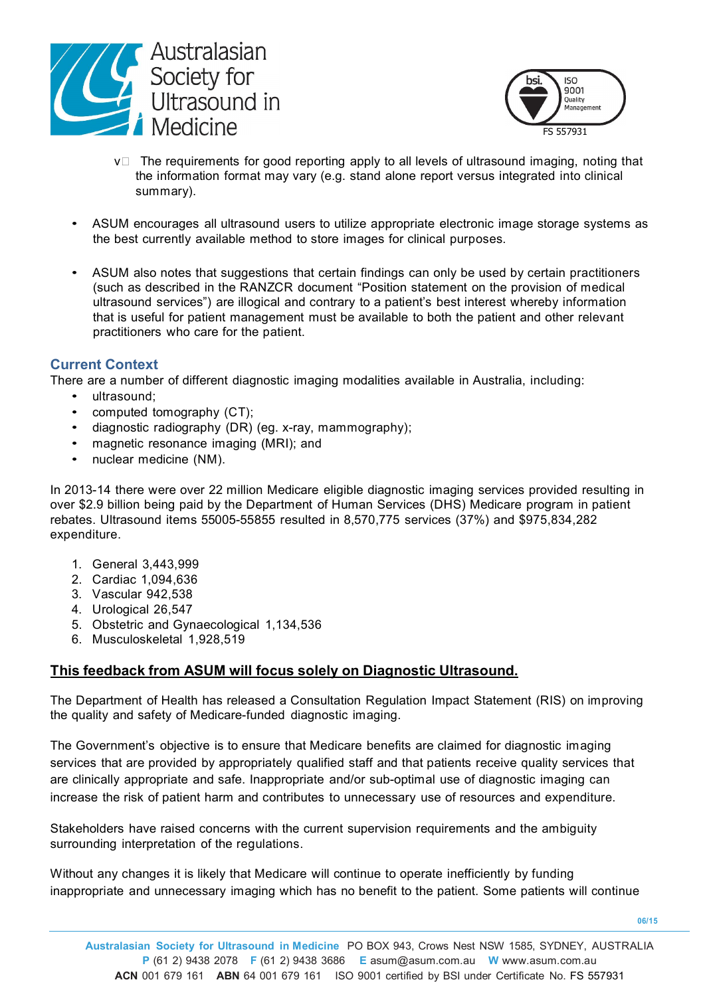



- $v \Box$  The requirements for good reporting apply to all levels of ultrasound imaging, noting that the information format may vary (e.g. stand alone report versus integrated into clinical summary).
- ASUM encourages all ultrasound users to utilize appropriate electronic image storage systems as the best currently available method to store images for clinical purposes.
- ASUM also notes that suggestions that certain findings can only be used by certain practitioners (such as described in the RANZCR document "Position statement on the provision of medical ultrasound services") are illogical and contrary to a patient's best interest whereby information that is useful for patient management must be available to both the patient and other relevant practitioners who care for the patient.

# **Current Context**

There are a number of different diagnostic imaging modalities available in Australia, including:

- ultrasound;
- computed tomography (CT);
- diagnostic radiography (DR) (eg. x-ray, mammography);
- magnetic resonance imaging (MRI); and
- nuclear medicine (NM).

In 2013-14 there were over 22 million Medicare eligible diagnostic imaging services provided resulting in over \$2.9 billion being paid by the Department of Human Services (DHS) Medicare program in patient rebates. Ultrasound items 55005-55855 resulted in 8,570,775 services (37%) and \$975,834,282 expenditure.

- 1. General 3,443,999
- 2. Cardiac 1,094,636
- 3. Vascular 942,538
- 4. Urological 26,547
- 5. Obstetric and Gynaecological 1,134,536
- 6. Musculoskeletal 1,928,519

### **This feedback from ASUM will focus solely on Diagnostic Ultrasound.**

The Department of Health has released a Consultation Regulation Impact Statement (RIS) on improving the quality and safety of Medicare-funded diagnostic imaging.

The Government's objective is to ensure that Medicare benefits are claimed for diagnostic imaging services that are provided by appropriately qualified staff and that patients receive quality services that are clinically appropriate and safe. Inappropriate and/or sub-optimal use of diagnostic imaging can increase the risk of patient harm and contributes to unnecessary use of resources and expenditure.

Stakeholders have raised concerns with the current supervision requirements and the ambiguity surrounding interpretation of the regulations.

Without any changes it is likely that Medicare will continue to operate inefficiently by funding inappropriate and unnecessary imaging which has no benefit to the patient. Some patients will continue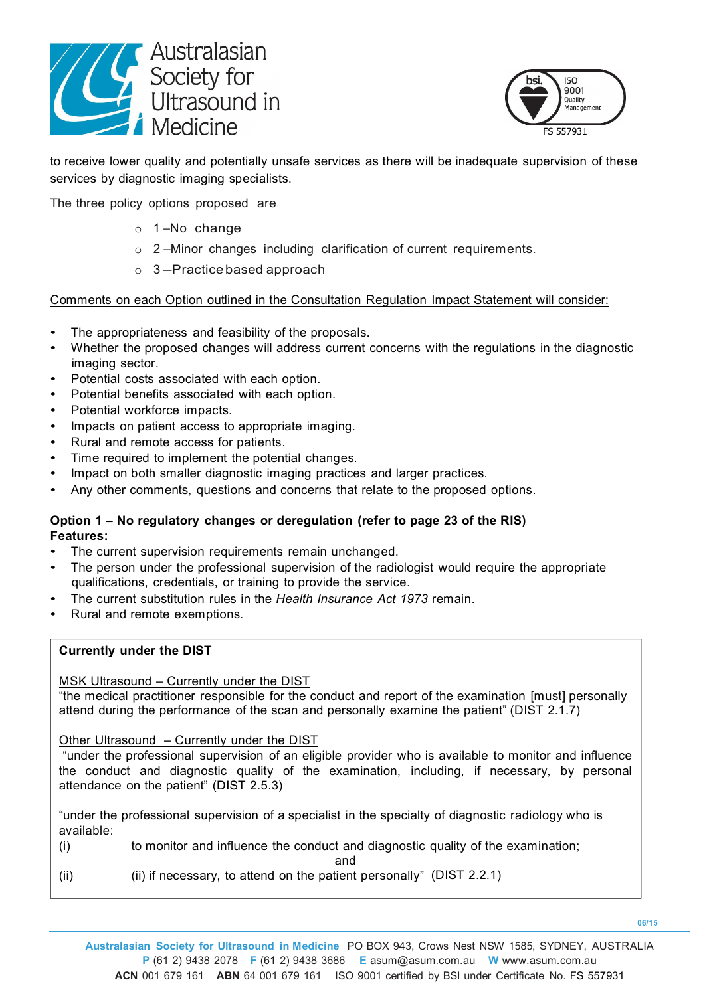



to receive lower quality and potentially unsafe services as there will be inadequate supervision of these services by diagnostic imaging specialists.

The three policy options proposed are

- o 1 –No change
- o 2 –Minor changes including clarification of current requirements.
- o 3 –Practicebased approach

### Comments on each Option outlined in the Consultation Regulation Impact Statement will consider:

- The appropriateness and feasibility of the proposals.
- Whether the proposed changes will address current concerns with the regulations in the diagnostic imaging sector.
- Potential costs associated with each option.
- Potential benefits associated with each option.
- Potential workforce impacts.
- Impacts on patient access to appropriate imaging.
- Rural and remote access for patients.
- Time required to implement the potential changes.
- Impact on both smaller diagnostic imaging practices and larger practices.
- Any other comments, questions and concerns that relate to the proposed options.

### **Option 1 – No regulatory changes or deregulation (refer to page 23 of the RIS) Features:**

- The current supervision requirements remain unchanged.
- The person under the professional supervision of the radiologist would require the appropriate qualifications, credentials, or training to provide the service.
- The current substitution rules in the *Health Insurance Act 1973* remain.
- Rural and remote exemptions.

### **Currently under the DIST**

MSK Ultrasound – Currently under the DIST

"the medical practitioner responsible for the conduct and report of the examination [must] personally attend during the performance of the scan and personally examine the patient" (DIST 2.1.7)

Other Ultrasound – Currently under the DIST

"under the professional supervision of an eligible provider who is available to monitor and influence the conduct and diagnostic quality of the examination, including, if necessary, by personal attendance on the patient" (DIST 2.5.3)

"under the professional supervision of a specialist in the specialty of diagnostic radiology who is available:

(i) to monitor and influence the conduct and diagnostic quality of the examination;

and

(ii) (ii) if necessary, to attend on the patient personally" (DIST 2.2.1)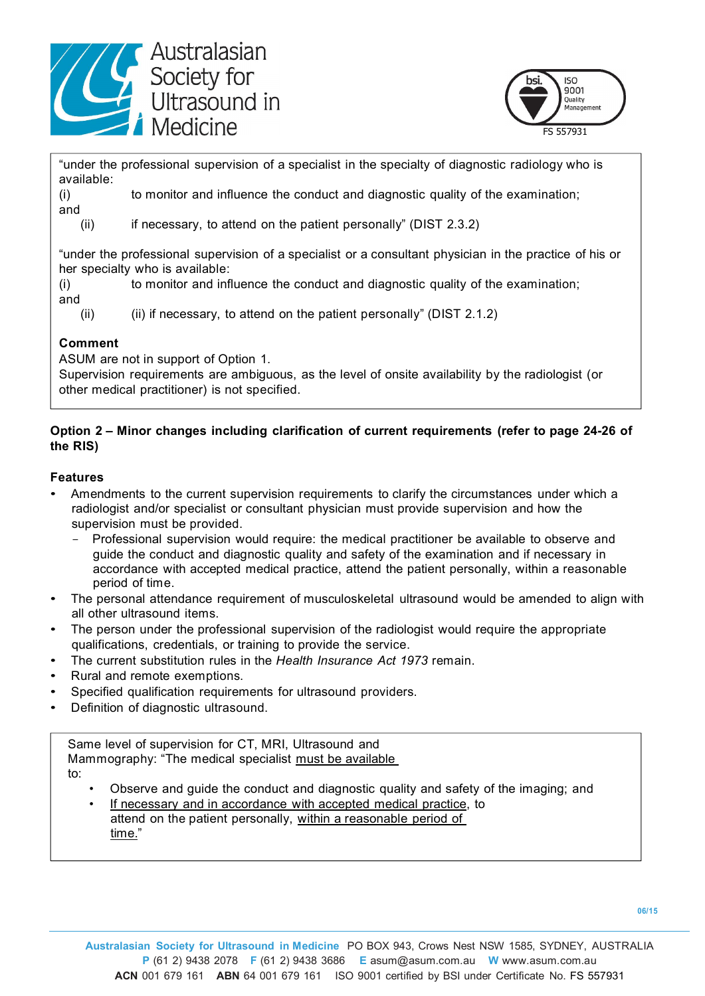



"under the professional supervision of a specialist in the specialty of diagnostic radiology who is available:

(i) to monitor and influence the conduct and diagnostic quality of the examination;

and

(ii) if necessary, to attend on the patient personally" (DIST 2.3.2)

"under the professional supervision of a specialist or a consultant physician in the practice of his or her specialty who is available:

(i) to monitor and influence the conduct and diagnostic quality of the examination;

and

(ii) (ii) if necessary, to attend on the patient personally" (DIST 2.1.2)

# **Comment**

ASUM are not in support of Option 1.

Supervision requirements are ambiguous, as the level of onsite availability by the radiologist (or other medical practitioner) is not specified.

## **Option 2 – Minor changes including clarification of current requirements (refer to page 24-26 of the RIS)**

# **Features**

- Amendments to the current supervision requirements to clarify the circumstances under which a radiologist and/or specialist or consultant physician must provide supervision and how the supervision must be provided.
	- Professional supervision would require: the medical practitioner be available to observe and guide the conduct and diagnostic quality and safety of the examination and if necessary in accordance with accepted medical practice, attend the patient personally, within a reasonable period of time.
- The personal attendance requirement of musculoskeletal ultrasound would be amended to align with all other ultrasound items.
- The person under the professional supervision of the radiologist would require the appropriate qualifications, credentials, or training to provide the service.
- The current substitution rules in the *Health Insurance Act 1973* remain.
- Rural and remote exemptions.
- Specified qualification requirements for ultrasound providers.
- Definition of diagnostic ultrasound.

Same level of supervision for CT, MRI, Ultrasound and Mammography: "The medical specialist must be available to:

- Observe and guide the conduct and diagnostic quality and safety of the imaging; and
- If necessary and in accordance with accepted medical practice, to attend on the patient personally, within a reasonable period of time."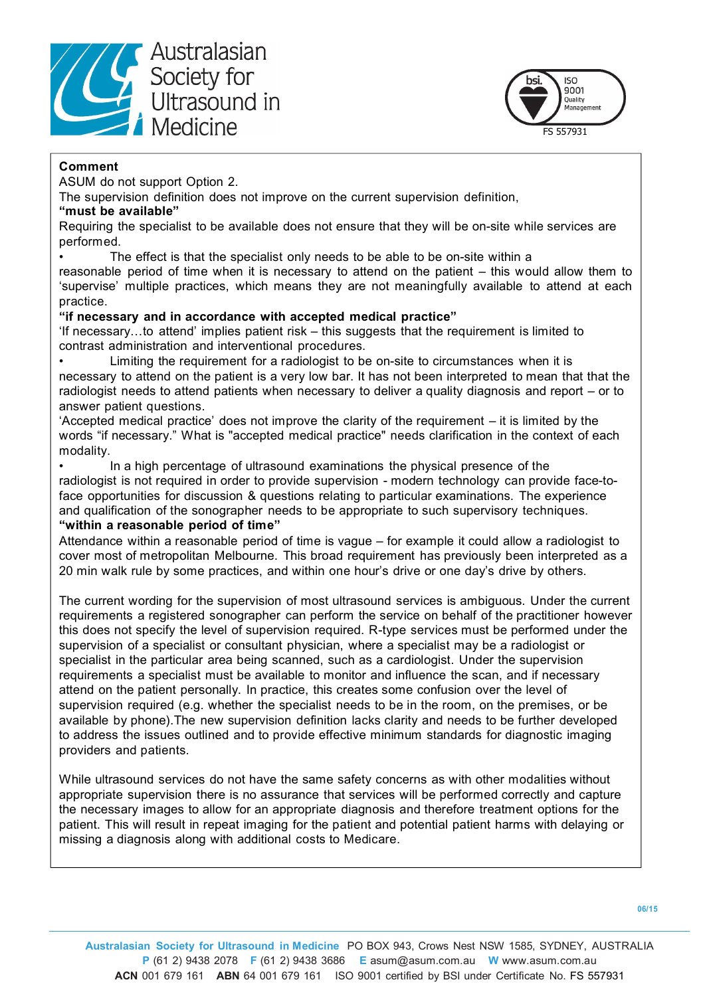



### **Comment**

ASUM do not support Option 2.

The supervision definition does not improve on the current supervision definition,

### **"must be available"**

Requiring the specialist to be available does not ensure that they will be on-site while services are performed.

The effect is that the specialist only needs to be able to be on-site within a reasonable period of time when it is necessary to attend on the patient – this would allow them to 'supervise' multiple practices, which means they are not meaningfully available to attend at each practice.

# **"if necessary and in accordance with accepted medical practice"**

'If necessary…to attend' implies patient risk – this suggests that the requirement is limited to contrast administration and interventional procedures.

• Limiting the requirement for a radiologist to be on-site to circumstances when it is necessary to attend on the patient is a very low bar. It has not been interpreted to mean that that the radiologist needs to attend patients when necessary to deliver a quality diagnosis and report – or to answer patient questions.

'Accepted medical practice' does not improve the clarity of the requirement – it is limited by the words "if necessary." What is "accepted medical practice" needs clarification in the context of each modality.

• In a high percentage of ultrasound examinations the physical presence of the radiologist is not required in order to provide supervision - modern technology can provide face-toface opportunities for discussion & questions relating to particular examinations. The experience and qualification of the sonographer needs to be appropriate to such supervisory techniques. **"within a reasonable period of time"**

Attendance within a reasonable period of time is vague – for example it could allow a radiologist to cover most of metropolitan Melbourne. This broad requirement has previously been interpreted as a 20 min walk rule by some practices, and within one hour's drive or one day's drive by others.

The current wording for the supervision of most ultrasound services is ambiguous. Under the current requirements a registered sonographer can perform the service on behalf of the practitioner however this does not specify the level of supervision required. R-type services must be performed under the supervision of a specialist or consultant physician, where a specialist may be a radiologist or specialist in the particular area being scanned, such as a cardiologist. Under the supervision requirements a specialist must be available to monitor and influence the scan, and if necessary attend on the patient personally. In practice, this creates some confusion over the level of supervision required (e.g. whether the specialist needs to be in the room, on the premises, or be available by phone).The new supervision definition lacks clarity and needs to be further developed to address the issues outlined and to provide effective minimum standards for diagnostic imaging providers and patients.

While ultrasound services do not have the same safety concerns as with other modalities without appropriate supervision there is no assurance that services will be performed correctly and capture the necessary images to allow for an appropriate diagnosis and therefore treatment options for the patient. This will result in repeat imaging for the patient and potential patient harms with delaying or missing a diagnosis along with additional costs to Medicare.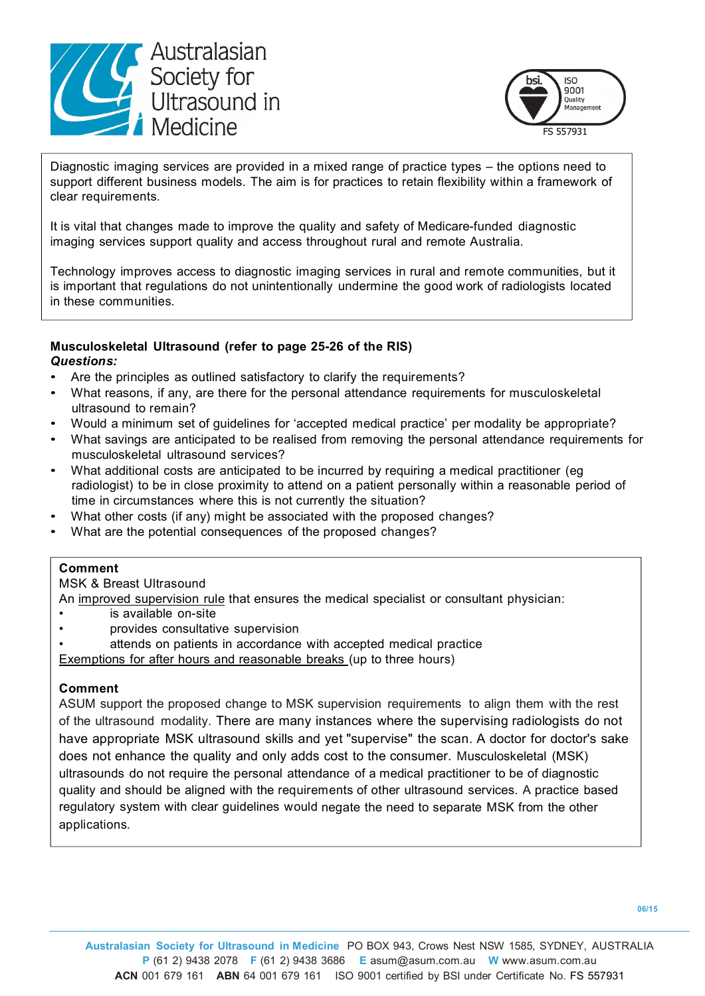



Diagnostic imaging services are provided in a mixed range of practice types – the options need to support different business models. The aim is for practices to retain flexibility within a framework of clear requirements.

It is vital that changes made to improve the quality and safety of Medicare-funded diagnostic imaging services support quality and access throughout rural and remote Australia.

Technology improves access to diagnostic imaging services in rural and remote communities, but it is important that regulations do not unintentionally undermine the good work of radiologists located in these communities.

### **Musculoskeletal Ultrasound (refer to page 25-26 of the RIS)** *Questions:*

- Are the principles as outlined satisfactory to clarify the requirements?
- What reasons, if any, are there for the personal attendance requirements for musculoskeletal ultrasound to remain?
- Would a minimum set of guidelines for 'accepted medical practice' per modality be appropriate?
- What savings are anticipated to be realised from removing the personal attendance requirements for musculoskeletal ultrasound services?
- What additional costs are anticipated to be incurred by requiring a medical practitioner (eg radiologist) to be in close proximity to attend on a patient personally within a reasonable period of time in circumstances where this is not currently the situation?
- What other costs (if any) might be associated with the proposed changes?
- What are the potential consequences of the proposed changes?

#### **Comment**

#### MSK & Breast Ultrasound

An improved supervision rule that ensures the medical specialist or consultant physician:

- is available on-site
- provides consultative supervision
- attends on patients in accordance with accepted medical practice

Exemptions for after hours and reasonable breaks (up to three hours)

#### **Comment**

ASUM support the proposed change to MSK supervision requirements to align them with the rest of the ultrasound modality. There are many instances where the supervising radiologists do not have appropriate MSK ultrasound skills and yet "supervise" the scan. A doctor for doctor's sake does not enhance the quality and only adds cost to the consumer. Musculoskeletal (MSK) ultrasounds do not require the personal attendance of a medical practitioner to be of diagnostic quality and should be aligned with the requirements of other ultrasound services. A practice based regulatory system with clear guidelines would negate the need to separate MSK from the other applications.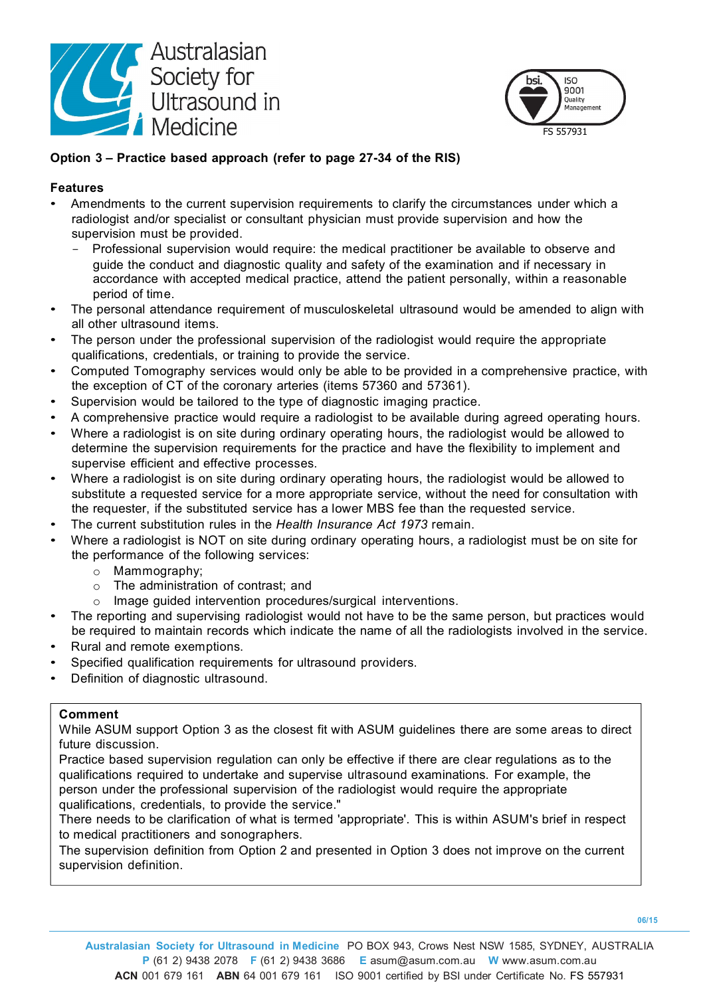



# **Option 3 – Practice based approach (refer to page 27-34 of the RIS)**

### **Features**

- Amendments to the current supervision requirements to clarify the circumstances under which a radiologist and/or specialist or consultant physician must provide supervision and how the supervision must be provided.
	- Professional supervision would require: the medical practitioner be available to observe and guide the conduct and diagnostic quality and safety of the examination and if necessary in accordance with accepted medical practice, attend the patient personally, within a reasonable period of time.
- The personal attendance requirement of musculoskeletal ultrasound would be amended to align with all other ultrasound items.
- The person under the professional supervision of the radiologist would require the appropriate qualifications, credentials, or training to provide the service.
- Computed Tomography services would only be able to be provided in a comprehensive practice, with the exception of CT of the coronary arteries (items 57360 and 57361).
- Supervision would be tailored to the type of diagnostic imaging practice.
- A comprehensive practice would require a radiologist to be available during agreed operating hours.
- Where a radiologist is on site during ordinary operating hours, the radiologist would be allowed to determine the supervision requirements for the practice and have the flexibility to implement and supervise efficient and effective processes.
- Where a radiologist is on site during ordinary operating hours, the radiologist would be allowed to substitute a requested service for a more appropriate service, without the need for consultation with the requester, if the substituted service has a lower MBS fee than the requested service.
- The current substitution rules in the *Health Insurance Act 1973* remain.
- Where a radiologist is NOT on site during ordinary operating hours, a radiologist must be on site for the performance of the following services:
	- o Mammography;
	- o The administration of contrast; and
	- o Image guided intervention procedures/surgical interventions.
- The reporting and supervising radiologist would not have to be the same person, but practices would be required to maintain records which indicate the name of all the radiologists involved in the service.
- Rural and remote exemptions.
- Specified qualification requirements for ultrasound providers.
- Definition of diagnostic ultrasound.

#### **Comment**

While ASUM support Option 3 as the closest fit with ASUM guidelines there are some areas to direct future discussion.

Practice based supervision regulation can only be effective if there are clear regulations as to the qualifications required to undertake and supervise ultrasound examinations. For example, the person under the professional supervision of the radiologist would require the appropriate qualifications, credentials, to provide the service."

There needs to be clarification of what is termed 'appropriate'. This is within ASUM's brief in respect to medical practitioners and sonographers.

The supervision definition from Option 2 and presented in Option 3 does not improve on the current supervision definition.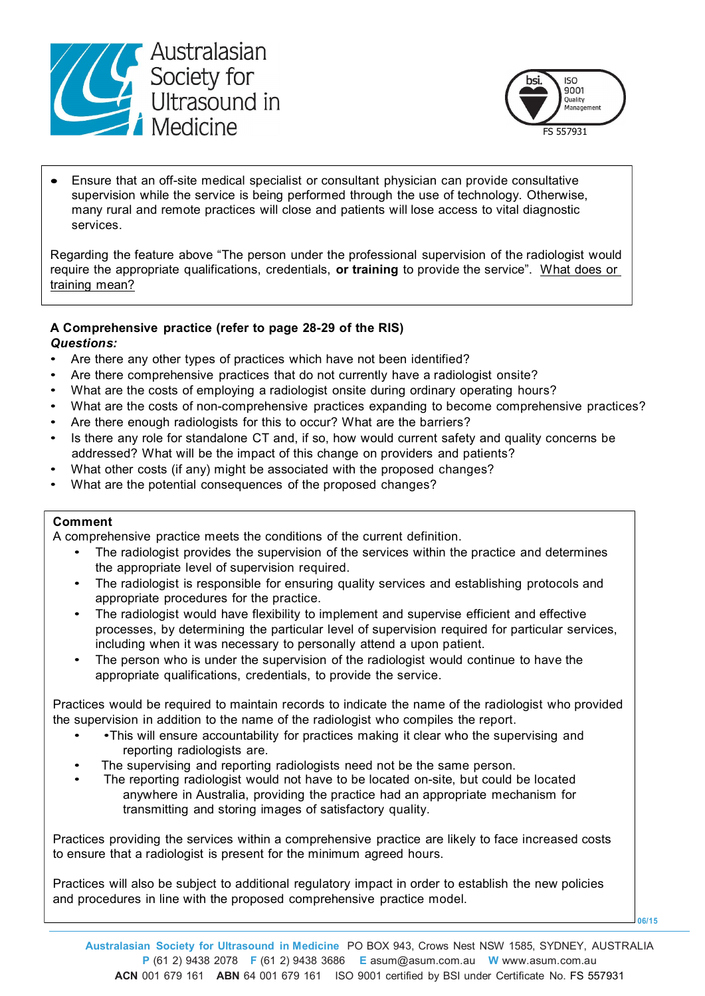



**06/15**

 Ensure that an off-site medical specialist or consultant physician can provide consultative supervision while the service is being performed through the use of technology. Otherwise, many rural and remote practices will close and patients will lose access to vital diagnostic services.

Regarding the feature above "The person under the professional supervision of the radiologist would require the appropriate qualifications, credentials, **or training** to provide the service". What does or training mean?

### **A Comprehensive practice (refer to page 28-29 of the RIS)** *Questions:*

- Are there any other types of practices which have not been identified?
- Are there comprehensive practices that do not currently have a radiologist onsite?
- What are the costs of employing a radiologist onsite during ordinary operating hours?
- What are the costs of non-comprehensive practices expanding to become comprehensive practices?
- Are there enough radiologists for this to occur? What are the barriers?
- Is there any role for standalone CT and, if so, how would current safety and quality concerns be addressed? What will be the impact of this change on providers and patients?
- What other costs (if any) might be associated with the proposed changes?
- What are the potential consequences of the proposed changes?

### **Comment**

A comprehensive practice meets the conditions of the current definition.

- The radiologist provides the supervision of the services within the practice and determines the appropriate level of supervision required.
- The radiologist is responsible for ensuring quality services and establishing protocols and appropriate procedures for the practice.
- The radiologist would have flexibility to implement and supervise efficient and effective processes, by determining the particular level of supervision required for particular services, including when it was necessary to personally attend a upon patient.
- The person who is under the supervision of the radiologist would continue to have the appropriate qualifications, credentials, to provide the service.

Practices would be required to maintain records to indicate the name of the radiologist who provided the supervision in addition to the name of the radiologist who compiles the report.

- •This will ensure accountability for practices making it clear who the supervising and reporting radiologists are.
- The supervising and reporting radiologists need not be the same person.
- The reporting radiologist would not have to be located on-site, but could be located anywhere in Australia, providing the practice had an appropriate mechanism for transmitting and storing images of satisfactory quality.

Practices providing the services within a comprehensive practice are likely to face increased costs to ensure that a radiologist is present for the minimum agreed hours.

Practices will also be subject to additional regulatory impact in order to establish the new policies and procedures in line with the proposed comprehensive practice model.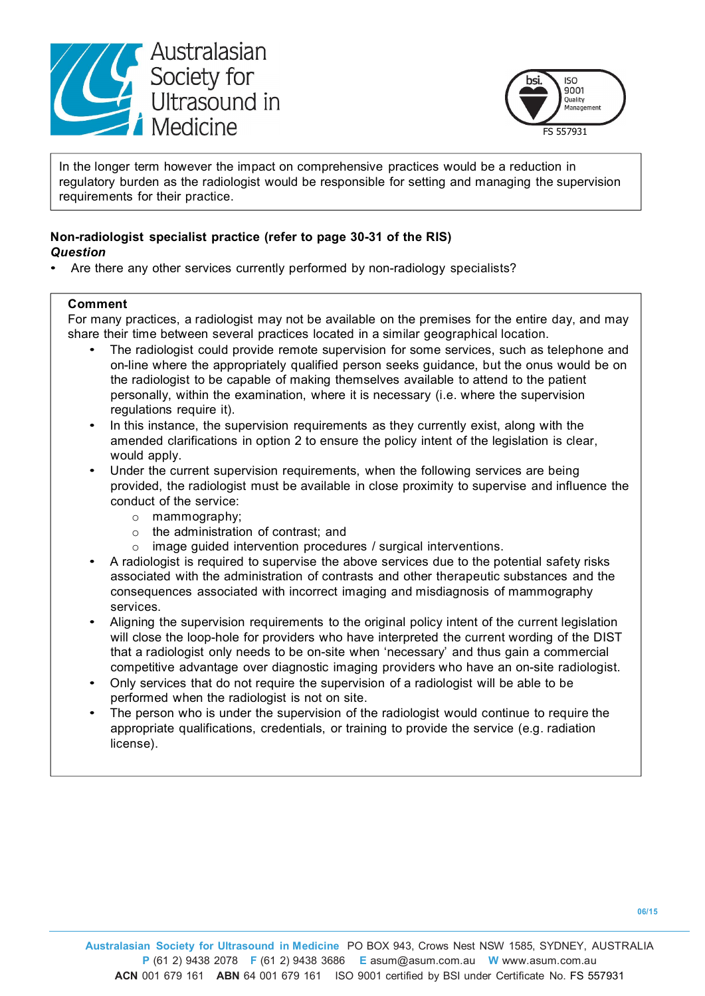



In the longer term however the impact on comprehensive practices would be a reduction in regulatory burden as the radiologist would be responsible for setting and managing the supervision requirements for their practice.

#### **Non-radiologist specialist practice (refer to page 30-31 of the RIS)** *Question*

• Are there any other services currently performed by non-radiology specialists?

### **Comment**

For many practices, a radiologist may not be available on the premises for the entire day, and may share their time between several practices located in a similar geographical location.

- The radiologist could provide remote supervision for some services, such as telephone and on-line where the appropriately qualified person seeks guidance, but the onus would be on the radiologist to be capable of making themselves available to attend to the patient personally, within the examination, where it is necessary (i.e. where the supervision regulations require it).
- In this instance, the supervision requirements as they currently exist, along with the amended clarifications in option 2 to ensure the policy intent of the legislation is clear, would apply.
- Under the current supervision requirements, when the following services are being provided, the radiologist must be available in close proximity to supervise and influence the conduct of the service:
	- o mammography;
	- o the administration of contrast; and
	- o image guided intervention procedures / surgical interventions.
- A radiologist is required to supervise the above services due to the potential safety risks associated with the administration of contrasts and other therapeutic substances and the consequences associated with incorrect imaging and misdiagnosis of mammography services.
- Aligning the supervision requirements to the original policy intent of the current legislation will close the loop-hole for providers who have interpreted the current wording of the DIST that a radiologist only needs to be on-site when 'necessary' and thus gain a commercial competitive advantage over diagnostic imaging providers who have an on-site radiologist.
- Only services that do not require the supervision of a radiologist will be able to be performed when the radiologist is not on site.
- The person who is under the supervision of the radiologist would continue to require the appropriate qualifications, credentials, or training to provide the service (e.g. radiation license).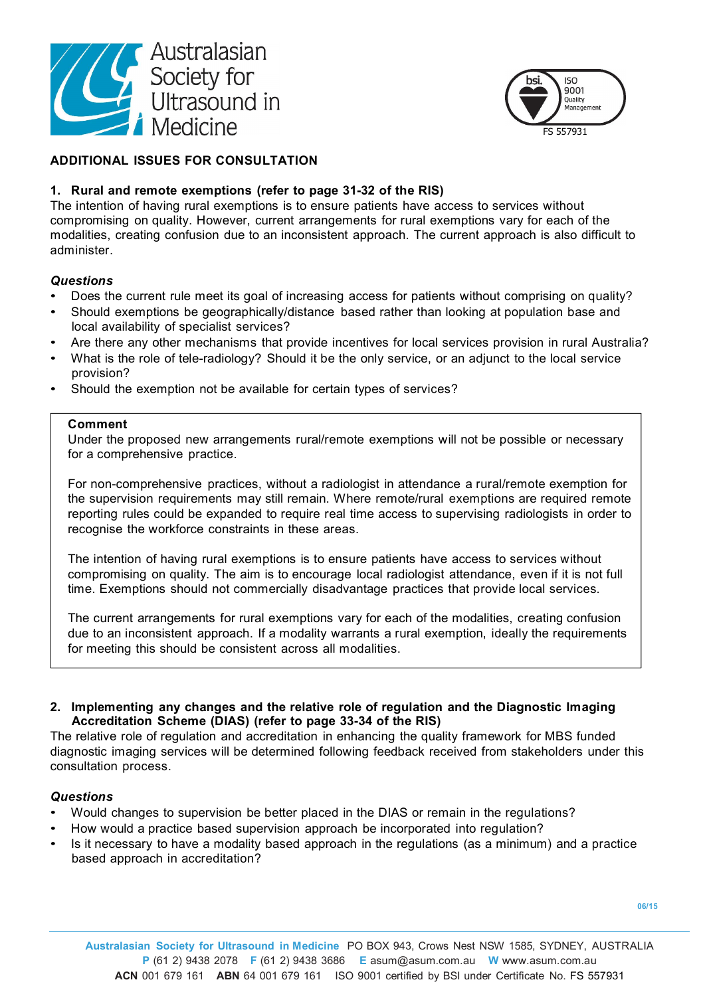



# **ADDITIONAL ISSUES FOR CONSULTATION**

## **1. Rural and remote exemptions (refer to page 31-32 of the RIS)**

The intention of having rural exemptions is to ensure patients have access to services without compromising on quality. However, current arrangements for rural exemptions vary for each of the modalities, creating confusion due to an inconsistent approach. The current approach is also difficult to administer.

### *Questions*

- Does the current rule meet its goal of increasing access for patients without comprising on quality?
- Should exemptions be geographically/distance based rather than looking at population base and local availability of specialist services?
- Are there any other mechanisms that provide incentives for local services provision in rural Australia?
- What is the role of tele-radiology? Should it be the only service, or an adjunct to the local service provision?
- Should the exemption not be available for certain types of services?

#### **Comment**

Under the proposed new arrangements rural/remote exemptions will not be possible or necessary for a comprehensive practice.

For non-comprehensive practices, without a radiologist in attendance a rural/remote exemption for the supervision requirements may still remain. Where remote/rural exemptions are required remote reporting rules could be expanded to require real time access to supervising radiologists in order to recognise the workforce constraints in these areas.

The intention of having rural exemptions is to ensure patients have access to services without compromising on quality. The aim is to encourage local radiologist attendance, even if it is not full time. Exemptions should not commercially disadvantage practices that provide local services.

The current arrangements for rural exemptions vary for each of the modalities, creating confusion due to an inconsistent approach. If a modality warrants a rural exemption, ideally the requirements for meeting this should be consistent across all modalities.

#### **2. Implementing any changes and the relative role of regulation and the Diagnostic Imaging Accreditation Scheme (DIAS) (refer to page 33-34 of the RIS)**

The relative role of regulation and accreditation in enhancing the quality framework for MBS funded diagnostic imaging services will be determined following feedback received from stakeholders under this consultation process.

#### *Questions*

- Would changes to supervision be better placed in the DIAS or remain in the regulations?
- How would a practice based supervision approach be incorporated into regulation?
- Is it necessary to have a modality based approach in the regulations (as a minimum) and a practice based approach in accreditation?